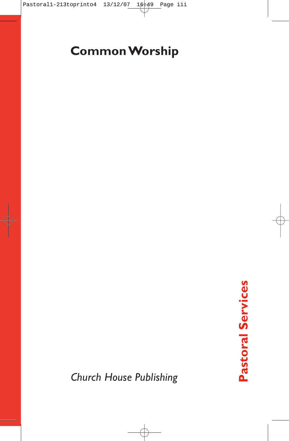# **Common Worship**

*Church House Publishing*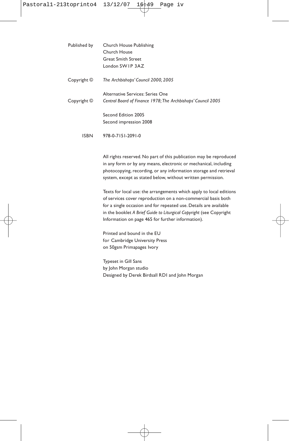| Published by | Church House Publishing                                      |
|--------------|--------------------------------------------------------------|
|              | Church House                                                 |
|              | <b>Great Smith Street</b>                                    |
|              | London SWIP 3AZ                                              |
| Copyright ©  | The Archbishops' Council 2000, 2005                          |
|              | Alternative Services: Series One                             |
| Copyright ©  | Central Board of Finance 1978; The Archbishops' Council 2005 |
|              | Second Edition 2005                                          |
|              | Second impression 2008                                       |
| ISBN         | 978-0-7151-2091-0                                            |

All rights reserved. No part of this publication may be reproduced in any form or by any means, electronic or mechanical, including photocopying, recording, or any information storage and retrieval system, except as stated below, without written permission.

Texts for local use: the arrangements which apply to local editions of services cover reproduction on a non-commercial basis both for a single occasion and for repeated use. Details are available in the booklet *A Brief Guide to Liturgical Copyright* (see Copyright Information on page 465 for further information).

Printed and bound in the EU for Cambridge University Press on 50gsm Primapages Ivory

Typeset in Gill Sans by John Morgan studio Designed by Derek Birdsall RDI and John Morgan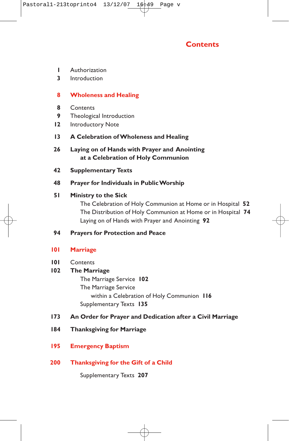

- **1** Authorization
- **3** Introduction

## **8 Wholeness and Healing**

- **8** Contents
- **9** Theological Introduction
- **12** Introductory Note
- **13 A Celebration of Wholeness and Healing**
- **26 Laying on of Hands with Prayer and Anointing at a Celebration of Holy Communion**
- **42 Supplementary Texts**

# **48 Prayer for Individuals in Public Worship**

### **51 Ministry to the Sick**

The Celebration of Holy Communion at Home or in Hospital **52** The Distribution of Holy Communion at Home or in Hospital **74** Laying on of Hands with Prayer and Anointing **92**

**94 Prayers for Protection and Peace**

# **101 Marriage**

**101** Contents

# **102 The Marriage**

The Marriage Service **102** The Marriage Service within a Celebration of Holy Communion **116** Supplementary Texts **135**

# **173 An Order for Prayer and Dedication after a Civil Marriage**

- **184 Thanksgiving for Marriage**
- **195 Emergency Baptism**
- **200 Thanksgiving for the Gift of a Child**

Supplementary Texts **207**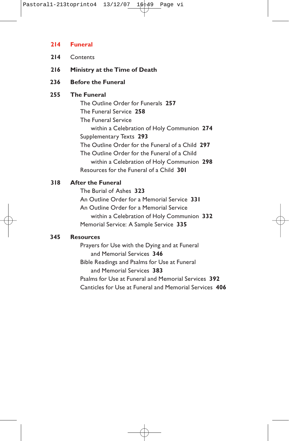#### **214 Funeral**

- **214** Contents
- **216 Ministry at the Time of Death**
- **236 Before the Funeral**

# **255 The Funeral**

The Outline Order for Funerals **257** The Funeral Service **258** The Funeral Service within a Celebration of Holy Communion **274** Supplementary Texts **293** The Outline Order for the Funeral of a Child **297** The Outline Order for the Funeral of a Child within a Celebration of Holy Communion **298** Resources for the Funeral of a Child **301**

# **318 After the Funeral**

The Burial of Ashes **323** An Outline Order for a Memorial Service **331** An Outline Order for a Memorial Service within a Celebration of Holy Communion **332** Memorial Service: A Sample Service **335**

# **345 Resources**

Prayers for Use with the Dying and at Funeral and Memorial Services **346** Bible Readings and Psalms for Use at Funeral and Memorial Services **383** Psalms for Use at Funeral and Memorial Services **392** Canticles for Use at Funeral and Memorial Services **406**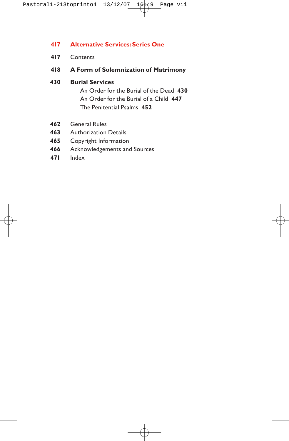# **417 Alternative Services: Series One**

- **417** Contents
- **418 A Form of Solemnization of Matrimony**
- **430 Burial Services**

An Order for the Burial of the Dead **430** An Order for the Burial of a Child **447** The Penitential Psalms **452**

- **462** General Rules
- **463** Authorization Details
- **465** Copyright Information
- **466** Acknowledgements and Sources
- **471** Index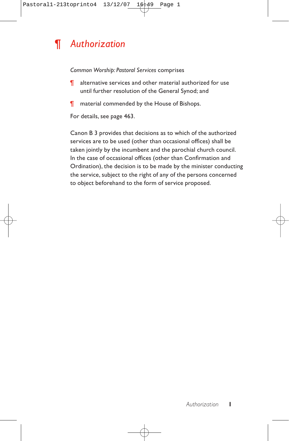# *¶ Authorization*

*Common Worship: Pastoral Services* comprises

- ¶ alternative services and other material authorized for use until further resolution of the General Synod; and
- **T** material commended by the House of Bishops.

For details, see page 463.

Canon B 3 provides that decisions as to which of the authorized services are to be used (other than occasional offices) shall be taken jointly by the incumbent and the parochial church council. In the case of occasional offices (other than Confirmation and Ordination), the decision is to be made by the minister conducting the service, subject to the right of any of the persons concerned to object beforehand to the form of service proposed.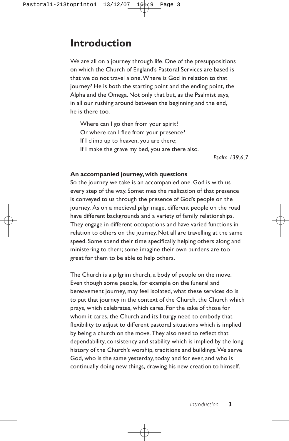# **Introduction**

We are all on a journey through life. One of the presuppositions on which the Church of England's Pastoral Services are based is that we do not travel alone.Where is God in relation to that journey? He is both the starting point and the ending point, the Alpha and the Omega. Not only that but, as the Psalmist says, in all our rushing around between the beginning and the end, he is there too.

Where can I go then from your spirit? Or where can I flee from your presence? If I climb up to heaven, you are there; If I make the grave my bed, you are there also.

*Psalm 139.6,7*

# **An accompanied journey, with questions**

So the journey we take is an accompanied one. God is with us every step of the way. Sometimes the realization of that presence is conveyed to us through the presence of God's people on the journey. As on a medieval pilgrimage, different people on the road have different backgrounds and a variety of family relationships. They engage in different occupations and have varied functions in relation to others on the journey. Not all are travelling at the same speed. Some spend their time specifically helping others along and ministering to them; some imagine their own burdens are too great for them to be able to help others.

The Church is a pilgrim church, a body of people on the move. Even though some people, for example on the funeral and bereavement journey, may feel isolated, what these services do is to put that journey in the context of the Church, the Church which prays, which celebrates, which cares. For the sake of those for whom it cares, the Church and its liturgy need to embody that flexibility to adjust to different pastoral situations which is implied by being a church on the move. They also need to reflect that dependability, consistency and stability which is implied by the long history of the Church's worship, traditions and buildings.We serve God, who is the same yesterday, today and for ever, and who is continually doing new things, drawing his new creation to himself.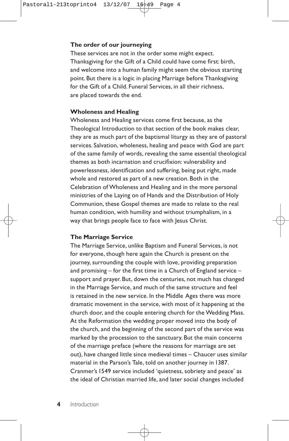# **The order of our journeying**

These services are not in the order some might expect. Thanksgiving for the Gift of a Child could have come first: birth, and welcome into a human family might seem the obvious starting point. But there is a logic in placing Marriage before Thanksgiving for the Gift of a Child. Funeral Services, in all their richness, are placed towards the end.

### **Wholeness and Healing**

Wholeness and Healing services come first because, as the Theological Introduction to that section of the book makes clear, they are as much part of the baptismal liturgy as they are of pastoral services. Salvation, wholeness, healing and peace with God are part of the same family of words, revealing the same essential theological themes as both incarnation and crucifixion: vulnerability and powerlessness, identification and suffering, being put right, made whole and restored as part of a new creation. Both in the Celebration of Wholeness and Healing and in the more personal ministries of the Laying on of Hands and the Distribution of Holy Communion, these Gospel themes are made to relate to the real human condition, with humility and without triumphalism, in a way that brings people face to face with Jesus Christ.

#### **The Marriage Service**

The Marriage Service, unlike Baptism and Funeral Services, is not for everyone, though here again the Church is present on the journey, surrounding the couple with love, providing preparation and promising – for the first time in a Church of England service – support and prayer. But, down the centuries, not much has changed in the Marriage Service, and much of the same structure and feel is retained in the new service. In the Middle Ages there was more dramatic movement in the service, with most of it happening at the church door, and the couple entering church for the Wedding Mass. At the Reformation the wedding proper moved into the body of the church, and the beginning of the second part of the service was marked by the procession to the sanctuary. But the main concerns of the marriage preface (where the reasons for marriage are set out), have changed little since medieval times – Chaucer uses similar material in the Parson's Tale, told on another journey in 1387. Cranmer's 1549 service included 'quietness, sobriety and peace' as the ideal of Christian married life, and later social changes included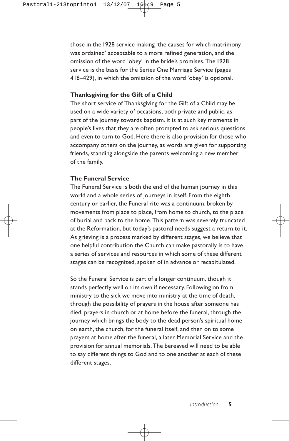those in the 1928 service making 'the causes for which matrimony was ordained' acceptable to a more refined generation, and the omission of the word 'obey' in the bride's promises. The 1928 service is the basis for the Series One Marriage Service (pages 418–429), in which the omission of the word 'obey' is optional.

#### **Thanksgiving for the Gift of a Child**

The short service of Thanksgiving for the Gift of a Child may be used on a wide variety of occasions, both private and public, as part of the journey towards baptism. It is at such key moments in people's lives that they are often prompted to ask serious questions and even to turn to God. Here there is also provision for those who accompany others on the journey, as words are given for supporting friends, standing alongside the parents welcoming a new member of the family.

#### **The Funeral Service**

The Funeral Service is both the end of the human journey in this world and a whole series of journeys in itself. From the eighth century or earlier, the Funeral rite was a continuum, broken by movements from place to place, from home to church, to the place of burial and back to the home. This pattern was severely truncated at the Reformation, but today's pastoral needs suggest a return to it. As grieving is a process marked by different stages, we believe that one helpful contribution the Church can make pastorally is to have a series of services and resources in which some of these different stages can be recognized, spoken of in advance or recapitulated.

So the Funeral Service is part of a longer continuum, though it stands perfectly well on its own if necessary. Following on from ministry to the sick we move into ministry at the time of death, through the possibility of prayers in the house after someone has died, prayers in church or at home before the funeral, through the journey which brings the body to the dead person's spiritual home on earth, the church, for the funeral itself, and then on to some prayers at home after the funeral, a later Memorial Service and the provision for annual memorials. The bereaved will need to be able to say different things to God and to one another at each of these different stages.